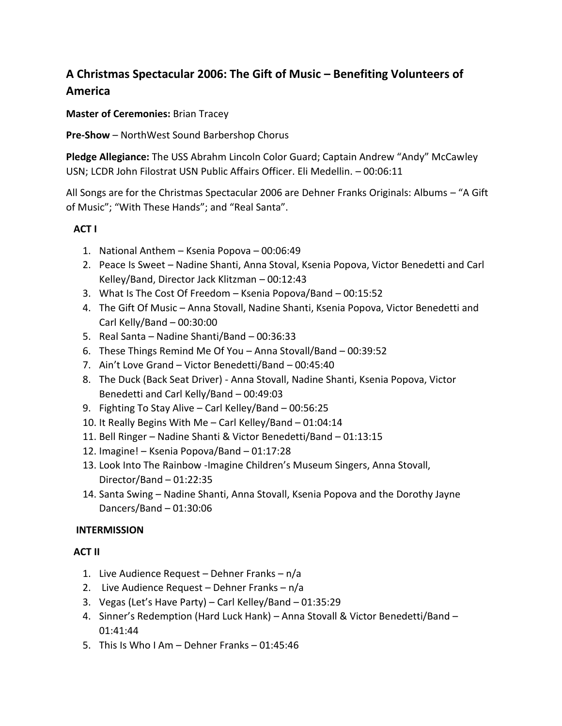## **A Christmas Spectacular 2006: The Gift of Music – Benefiting Volunteers of America**

**Master of Ceremonies:** Brian Tracey

**Pre-Show** – NorthWest Sound Barbershop Chorus

**Pledge Allegiance:** The USS Abrahm Lincoln Color Guard; Captain Andrew "Andy" McCawley USN; LCDR John Filostrat USN Public Affairs Officer. Eli Medellin. – 00:06:11

All Songs are for the Christmas Spectacular 2006 are Dehner Franks Originals: Albums – "A Gift of Music"; "With These Hands"; and "Real Santa".

## **ACT I**

- 1. National Anthem Ksenia Popova 00:06:49
- 2. Peace Is Sweet Nadine Shanti, Anna Stoval, Ksenia Popova, Victor Benedetti and Carl Kelley/Band, Director Jack Klitzman – 00:12:43
- 3. What Is The Cost Of Freedom Ksenia Popova/Band 00:15:52
- 4. The Gift Of Music Anna Stovall, Nadine Shanti, Ksenia Popova, Victor Benedetti and Carl Kelly/Band – 00:30:00
- 5. Real Santa Nadine Shanti/Band 00:36:33
- 6. These Things Remind Me Of You Anna Stovall/Band 00:39:52
- 7. Ain't Love Grand Victor Benedetti/Band 00:45:40
- 8. The Duck (Back Seat Driver) Anna Stovall, Nadine Shanti, Ksenia Popova, Victor Benedetti and Carl Kelly/Band – 00:49:03
- 9. Fighting To Stay Alive Carl Kelley/Band 00:56:25
- 10. It Really Begins With Me Carl Kelley/Band 01:04:14
- 11. Bell Ringer Nadine Shanti & Victor Benedetti/Band 01:13:15
- 12. Imagine! Ksenia Popova/Band 01:17:28
- 13. Look Into The Rainbow -Imagine Children's Museum Singers, Anna Stovall, Director/Band – 01:22:35
- 14. Santa Swing Nadine Shanti, Anna Stovall, Ksenia Popova and the Dorothy Jayne Dancers/Band – 01:30:06

## **INTERMISSION**

## **ACT II**

- 1. Live Audience Request Dehner Franks n/a
- 2. Live Audience Request Dehner Franks n/a
- 3. Vegas (Let's Have Party) Carl Kelley/Band 01:35:29
- 4. Sinner's Redemption (Hard Luck Hank) Anna Stovall & Victor Benedetti/Band 01:41:44
- 5. This Is Who I Am Dehner Franks 01:45:46